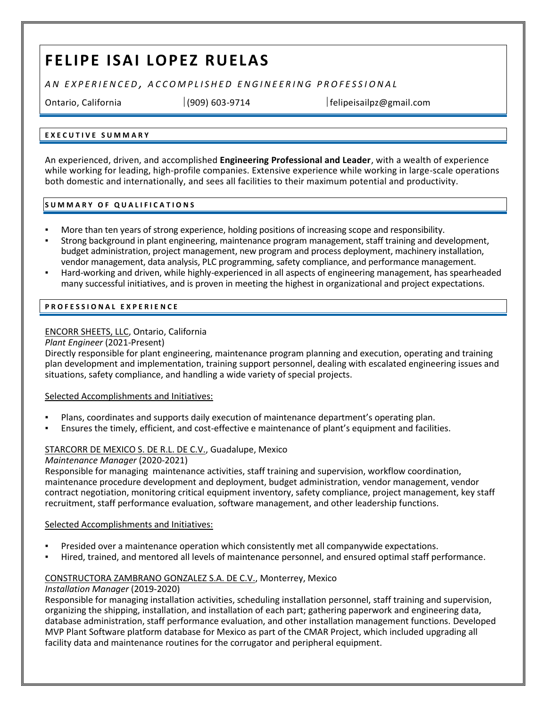# **FELIPE ISAI LOPEZ RUELAS**

*A N E X P E R I E N C E D , A C C O M P L I S H E D E N G I N E E R I N G P R O F E S S I O N A L*

Ontario, California │(909) 603-9714 │felipeisailpz@gmail.com

# **E X E C U T I V E S U M M A R Y**

An experienced, driven, and accomplished **Engineering Professional and Leader**, with a wealth of experience while working for leading, high-profile companies. Extensive experience while working in large-scale operations both domestic and internationally, and sees all facilities to their maximum potential and productivity.

## **S U M M A R Y O F Q U A L I F I C A T I O N S**

- More than ten years of strong experience, holding positions of increasing scope and responsibility.
- Strong background in plant engineering, maintenance program management, staff training and development, budget administration, project management, new program and process deployment, machinery installation, vendor management, data analysis, PLC programming, safety compliance, and performance management.
- Hard-working and driven, while highly-experienced in all aspects of engineering management, has spearheaded many successful initiatives, and is proven in meeting the highest in organizational and project expectations.

# **P R O F E S S I O N A L E X P E R I E N C E**

# ENCORR SHEETS, LLC, Ontario, California

## *Plant Engineer* (2021-Present)

Directly responsible for plant engineering, maintenance program planning and execution, operating and training plan development and implementation, training support personnel, dealing with escalated engineering issues and situations, safety compliance, and handling a wide variety of special projects.

## Selected Accomplishments and Initiatives:

- Plans, coordinates and supports daily execution of maintenance department's operating plan.
- Ensures the timely, efficient, and cost-effective e maintenance of plant's equipment and facilities.

# STARCORR DE MEXICO S. DE R.L. DE C.V., Guadalupe, Mexico

## *Maintenance Manager* (2020-2021)

Responsible for managing maintenance activities, staff training and supervision, workflow coordination, maintenance procedure development and deployment, budget administration, vendor management, vendor contract negotiation, monitoring critical equipment inventory, safety compliance, project management, key staff recruitment, staff performance evaluation, software management, and other leadership functions.

## Selected Accomplishments and Initiatives:

- Presided over a maintenance operation which consistently met all companywide expectations.
- Hired, trained, and mentored all levels of maintenance personnel, and ensured optimal staff performance.

# CONSTRUCTORA ZAMBRANO GONZALEZ S.A. DE C.V., Monterrey, Mexico

## *Installation Manager* (2019-2020)

Responsible for managing installation activities, scheduling installation personnel, staff training and supervision, organizing the shipping, installation, and installation of each part; gathering paperwork and engineering data, database administration, staff performance evaluation, and other installation management functions. Developed MVP Plant Software platform database for Mexico as part of the CMAR Project, which included upgrading all facility data and maintenance routines for the corrugator and peripheral equipment.